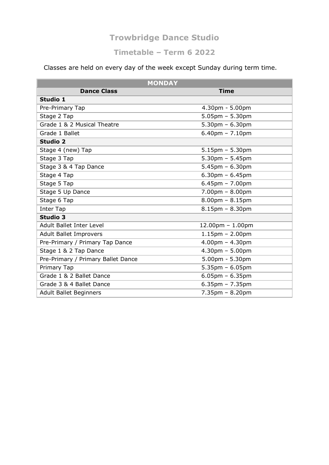#### **Timetable – Term 6 2022**

Classes are held on every day of the week except Sunday during term time.

|                                    | <b>MONDAY</b>                     |
|------------------------------------|-----------------------------------|
| <b>Dance Class</b>                 | <b>Time</b>                       |
| Studio 1                           |                                   |
| Pre-Primary Tap                    | $4.30pm - 5.00pm$                 |
| Stage 2 Tap                        | $5.05$ pm - 5.30pm                |
| Grade 1 & 2 Musical Theatre        | $5.30pm - 6.30pm$                 |
| Grade 1 Ballet                     | $6.40$ pm - 7.10pm                |
| <b>Studio 2</b>                    |                                   |
| Stage 4 (new) Tap                  | $5.15$ pm $- 5.30$ pm             |
| Stage 3 Tap                        | $5.30$ pm - $5.45$ pm             |
| Stage 3 & 4 Tap Dance              | $5.45$ pm - 6.30pm                |
| Stage 4 Tap                        | $6.30$ pm - $6.45$ pm             |
| Stage 5 Tap                        | $6.45$ pm - 7.00pm                |
| Stage 5 Up Dance                   | $7.00pm - 8.00pm$                 |
| Stage 6 Tap                        | $8.00$ pm - $8.15$ pm             |
| Inter Tap                          | $8.15$ pm - $8.30$ pm             |
| <b>Studio 3</b>                    |                                   |
| <b>Adult Ballet Inter Level</b>    | $12.00$ pm - 1.00pm               |
| <b>Adult Ballet Improvers</b>      | $1.15$ pm - 2.00pm                |
| Pre-Primary / Primary Tap Dance    | $4.00$ pm - $4.30$ pm             |
| Stage 1 & 2 Tap Dance              | $4.30 \text{pm} - 5.00 \text{pm}$ |
| Pre-Primary / Primary Ballet Dance | $5.00$ pm - $5.30$ pm             |
| Primary Tap                        | $5.35$ pm - 6.05pm                |
| Grade 1 & 2 Ballet Dance           | $6.05$ pm - $6.35$ pm             |
| Grade 3 & 4 Ballet Dance           | $6.35$ pm - 7.35pm                |
| <b>Adult Ballet Beginners</b>      | $7.35$ pm - 8.20pm                |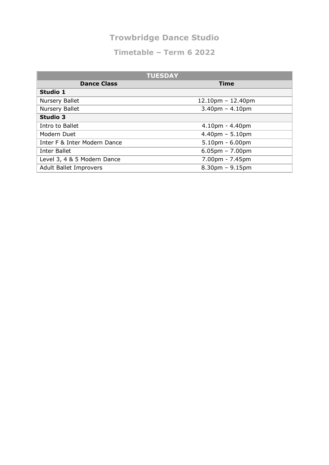| <b>TUESDAY</b>                |                       |  |
|-------------------------------|-----------------------|--|
| <b>Dance Class</b>            | <b>Time</b>           |  |
| Studio 1                      |                       |  |
| Nursery Ballet                | $12.10pm - 12.40pm$   |  |
| Nursery Ballet                | $3.40$ pm - $4.10$ pm |  |
| <b>Studio 3</b>               |                       |  |
| Intro to Ballet               | $4.10pm - 4.40pm$     |  |
| Modern Duet                   | $4.40pm - 5.10pm$     |  |
| Inter F & Inter Modern Dance  | $5.10$ pm - $6.00$ pm |  |
| Inter Ballet                  | $6.05$ pm – 7.00pm    |  |
| Level 3, 4 & 5 Modern Dance   | 7.00pm - 7.45pm       |  |
| <b>Adult Ballet Improvers</b> | $8.30pm - 9.15pm$     |  |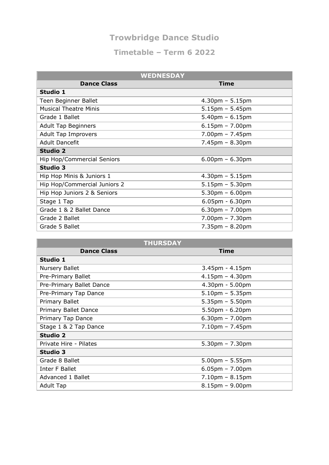| <b>WEDNESDAY</b>             |                                   |  |
|------------------------------|-----------------------------------|--|
| <b>Dance Class</b>           | Time                              |  |
| <b>Studio 1</b>              |                                   |  |
| Teen Beginner Ballet         | $4.30$ pm - $5.15$ pm             |  |
| <b>Musical Theatre Minis</b> | $5.15$ pm - 5.45pm                |  |
| Grade 1 Ballet               | $5.40$ pm – 6.15pm                |  |
| <b>Adult Tap Beginners</b>   | $6.15$ pm - 7.00pm                |  |
| <b>Adult Tap Improvers</b>   | $7.00pm - 7.45pm$                 |  |
| <b>Adult Dancefit</b>        | $7.45 \text{pm} - 8.30 \text{pm}$ |  |
| <b>Studio 2</b>              |                                   |  |
| Hip Hop/Commercial Seniors   | $6.00$ pm – 6.30pm                |  |
| <b>Studio 3</b>              |                                   |  |
| Hip Hop Minis & Juniors 1    | $4.30$ pm - $5.15$ pm             |  |
| Hip Hop/Commercial Juniors 2 | $5.15$ pm $- 5.30$ pm             |  |
| Hip Hop Juniors 2 & Seniors  | $5.30 \text{pm} - 6.00 \text{pm}$ |  |
| Stage 1 Tap                  | $6.05$ pm - $6.30$ pm             |  |
| Grade 1 & 2 Ballet Dance     | $6.30 \text{pm} - 7.00 \text{pm}$ |  |
| Grade 2 Ballet               | $7.00pm - 7.30pm$                 |  |
| Grade 5 Ballet               | $7.35 \text{pm} - 8.20 \text{pm}$ |  |

| <b>THURSDAY</b>          |                                   |  |
|--------------------------|-----------------------------------|--|
| <b>Dance Class</b>       | Time                              |  |
| Studio 1                 |                                   |  |
| <b>Nursery Ballet</b>    | $3.45$ pm - $4.15$ pm             |  |
| Pre-Primary Ballet       | $4.15$ pm – $4.30$ pm             |  |
| Pre-Primary Ballet Dance | 4.30pm - 5.00pm                   |  |
| Pre-Primary Tap Dance    | $5.10$ pm – 5.35pm                |  |
| Primary Ballet           | $5.35$ pm – 5.50pm                |  |
| Primary Ballet Dance     | $5.50pm - 6.20pm$                 |  |
| Primary Tap Dance        | $6.30 \text{pm} - 7.00 \text{pm}$ |  |
| Stage 1 & 2 Tap Dance    | $7.10pm - 7.45pm$                 |  |
| <b>Studio 2</b>          |                                   |  |
| Private Hire - Pilates   | $5.30pm - 7.30pm$                 |  |
| <b>Studio 3</b>          |                                   |  |
| Grade 8 Ballet           | $5.00$ pm – 5.55pm                |  |
| Inter F Ballet           | $6.05$ pm – 7.00pm                |  |
| Advanced 1 Ballet        | $7.10pm - 8.15pm$                 |  |
| Adult Tap                | $8.15$ pm – $9.00$ pm             |  |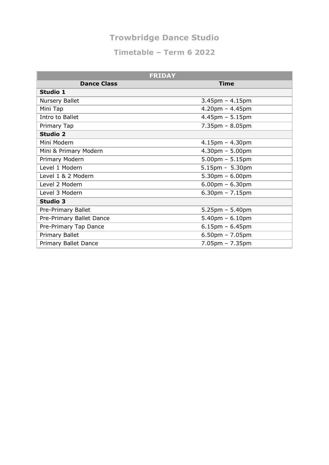| <b>FRIDAY</b>            |                                   |
|--------------------------|-----------------------------------|
| <b>Dance Class</b>       | <b>Time</b>                       |
| Studio 1                 |                                   |
| <b>Nursery Ballet</b>    | $3.45$ pm - $4.15$ pm             |
| Mini Tap                 | $4.20$ pm - $4.45$ pm             |
| Intro to Ballet          | $4.45$ pm - 5.15pm                |
| Primary Tap              | $7.35 \text{pm} - 8.05 \text{pm}$ |
| <b>Studio 2</b>          |                                   |
| Mini Modern              | $4.15$ pm $- 4.30$ pm             |
| Mini & Primary Modern    | $4.30pm - 5.00pm$                 |
| Primary Modern           | $5.00$ pm - $5.15$ pm             |
| Level 1 Modern           | $5.15$ pm - 5.30pm                |
| Level 1 & 2 Modern       | $5.30pm - 6.00pm$                 |
| Level 2 Modern           | $6.00$ pm - $6.30$ pm             |
| Level 3 Modern           | $6.30$ pm - 7.15pm                |
| <b>Studio 3</b>          |                                   |
| Pre-Primary Ballet       | $5.25 \text{pm} - 5.40 \text{pm}$ |
| Pre-Primary Ballet Dance | $5.40$ pm – 6.10pm                |
| Pre-Primary Tap Dance    | $6.15$ pm - $6.45$ pm             |
| Primary Ballet           | $6.50$ pm - 7.05pm                |
| Primary Ballet Dance     | $7.05$ pm - $7.35$ pm             |